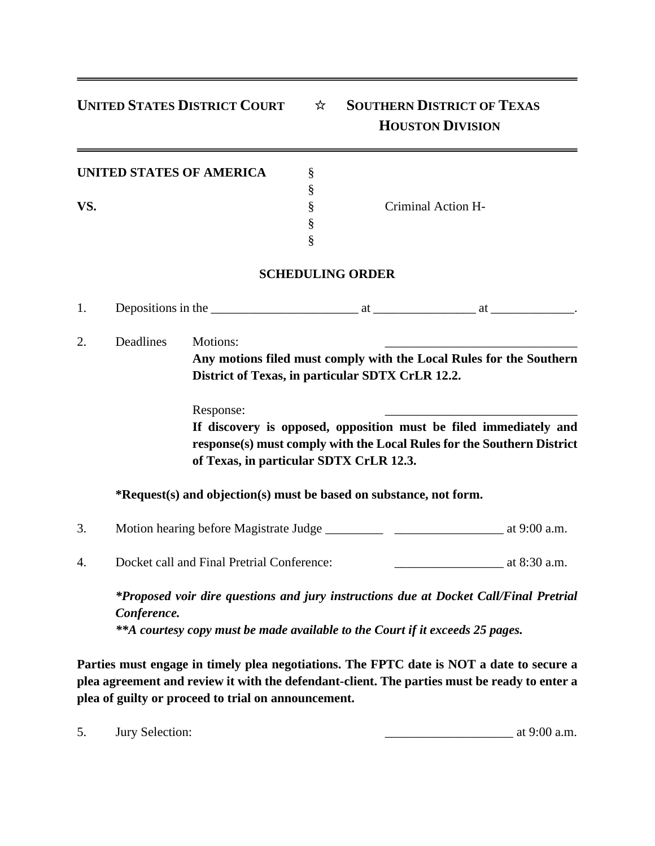## **UNITED STATES DISTRICT COURT** ☆ **SOUTHERN DISTRICT OF TEXAS**

## **HOUSTON DIVISION**

| UNITED STATES OF AMERICA |  |
|--------------------------|--|
|--------------------------|--|

Criminal Action H-

## **SCHEDULING ORDER**

§

§ §

1. Depositions in the \_\_\_\_\_\_\_\_\_\_\_\_\_\_\_\_\_\_\_\_\_\_\_ at \_\_\_\_\_\_\_\_\_\_\_\_\_\_\_\_ at \_\_\_\_\_\_\_\_\_\_\_\_\_.

2. Deadlines Motions: **Any motions filed must comply with the Local Rules for the Southern District of Texas, in particular SDTX CrLR 12.2.**

Response:

**If discovery is opposed, opposition must be filed immediately and response(s) must comply with the Local Rules for the Southern District of Texas, in particular SDTX CrLR 12.3.**

**\*Request(s) and objection(s) must be based on substance, not form.**

- 3. Motion hearing before Magistrate Judge \_\_\_\_\_\_\_\_\_ \_\_\_\_\_\_\_\_\_\_\_\_\_\_\_\_\_ at 9:00 a.m.
- 4. Docket call and Final Pretrial Conference:  $\alpha$  at 8:30 a.m.

*\*Proposed voir dire questions and jury instructions due at Docket Call/Final Pretrial Conference. \*\*A courtesy copy must be made available to the Court if it exceeds 25 pages.*

**Parties must engage in timely plea negotiations. The FPTC date is NOT a date to secure a plea agreement and review it with the defendant-client. The parties must be ready to enter a plea of guilty or proceed to trial on announcement.**

5. Jury Selection:  $\frac{1}{2}$  at 9:00 a.m.